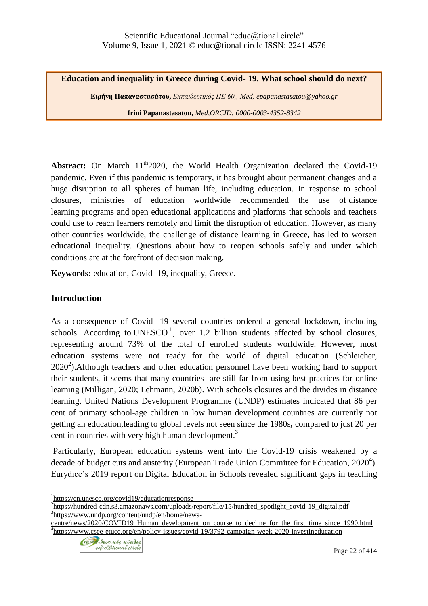**Education and inequality in Greece during Covid- 19. What school should do next?**

**Ειρήνη Παπαναστασάτου,** *Εκπαιδευτικός ΠΕ 60,, Μed, epapanastasatou@yahoo.gr* **Irini Papanastasatou,** *Med,ORCID: 0000-0003-4352-8342*

**Abstract:** On March  $11^{th}2020$ , the World Health Organization declared the Covid-19 pandemic. Even if this pandemic is temporary, it has brought about permanent changes and a huge disruption to all spheres of human life, including education. In response to school closures, ministries of education worldwide recommended the use of [distance](https://en.wikipedia.org/wiki/Distance_learning)  [learning](https://en.wikipedia.org/wiki/Distance_learning) programs and [open educational applications](https://en.wikipedia.org/wiki/Open_educational_resources) and platforms that schools and teachers could use to reach learners remotely and limit the disruption of education. However, as many other countries worldwide, the challenge of distance learning in Greece, has led to worsen educational inequality. Questions about how to reopen schools safely and under which conditions are at the forefront of decision making.

**Keywords:** education, Covid- 19, inequality, Greece.

# **Introduction**

As a consequence of Covid -19 several countries ordered a general lockdown, including schools. According to [UNESCO](https://en.unesco.org/covid19/educationresponse)<sup>1</sup>, over 1.2 billion students affected by school closures, representing around 73% of the total of enrolled students worldwide. However, most education systems were not ready for the world of digital education (Schleicher,  $2020<sup>2</sup>$ ). Although teachers and other education personnel have been working hard to support their students, it seems that many countries are still far from using best practices for online learning (Milligan, 2020; Lehmann, 2020b). With schools closures and the divides in distance learning, United Nations Development Programme (UNDP) estimates indicated that 86 per cent of primary school-age children in low human development countries are currently not getting an education,leading to global levels not seen since the 1980s**,** compared to just 20 per cent in countries with very high human development.<sup>3</sup>

Particularly, European education systems went into the Covid-19 crisis weakened by a decade of budget cuts and austerity (European Trade Union Committee for Education,  $2020^4$ ). Eurydice's 2019 report on Digital [Education](https://eacea.ec.europa.eu/national-policies/eurydice/content/digital-education-school-europe_en) in Schools revealed significant gaps in teaching

[centre/news/2020/COVID19\\_Human\\_development\\_on\\_course\\_to\\_decline\\_for\\_the\\_first\\_time\\_since\\_1990.html](https://www.undp.org/content/undp/en/home/news-centre/news/2020/COVID19_Human_development_on_course_to_decline_for_the_first_time_since_1990.html) <sup>4</sup><https://www.csee-etuce.org/en/policy-issues/covid-19/3792-campaign-week-2020-investineducation>



 $\overline{a}$ <sup>1</sup><https://en.unesco.org/covid19/educationresponse>

<sup>&</sup>lt;sup>2</sup>[https://hundred-cdn.s3.amazonaws.com/uploads/report/file/15/hundred\\_spotlight\\_covid-19\\_digital.pdf](https://hundred-cdn.s3.amazonaws.com/uploads/report/file/15/hundred_spotlight_covid-19_digital.pdf) 3 [https://www.undp.org/content/undp/en/home/news-](https://www.undp.org/content/undp/en/home/news-centre/news/2020/COVID19_Human_development_on_course_to_decline_for_the_first_time_since_1990.html)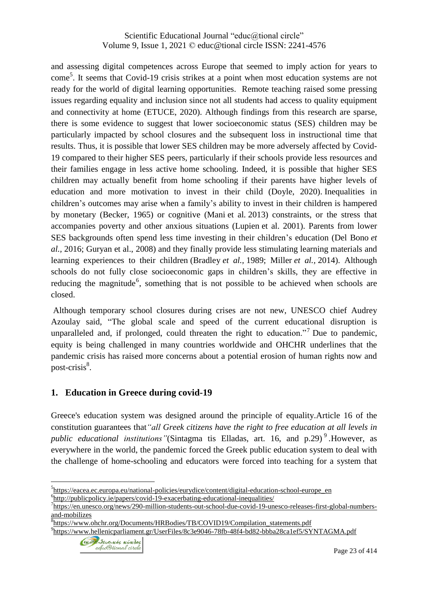and assessing digital competences across Europe that seemed to imply action for years to come<sup>5</sup>. It seems that Covid-19 crisis strikes at a point when most education systems are not ready for the world of digital learning opportunities. Remote teaching raised some pressing issues regarding equality and inclusion since not all students had access to quality equipment and connectivity at home (ETUCE, 2020). Although findings from this research are sparse, there is some evidence to suggest that lower socioeconomic status (SES) children may be particularly impacted by school closures and the subsequent loss in instructional time that results. Thus, it is possible that lower SES children may be more adversely affected by Covid-19 compared to their higher SES peers, particularly if their schools provide less resources and their families engage in less active home schooling. Indeed, it is possible that higher SES children may actually benefit from home schooling if their parents have higher levels of education and more motivation to invest in their child (Doyle, 2020). Inequalities in children's outcomes may arise when a family's ability to invest in their children is hampered by monetary (Becker, 1965) or cognitive (Mani et al*.* 2013) constraints, or the stress that accompanies poverty and other anxious situations (Lupien et al. 2001). Parents from lower SES backgrounds often spend less time investing in their children's education (Del Bono *et al.,* 2016; Guryan et al., 2008) and they finally provide less stimulating learning materials and learning experiences to their children (Bradley *et al.,* 1989; Miller *et al.,* 2014). Although schools do not fully close socioeconomic gaps in children's skills, they are effective in reducing the magnitude<sup>6</sup>, something that is not possible to be achieved when schools are closed.

Although temporary school closures during crises are not new, UNESCO chief Audrey Azoulay said, "The global scale and speed of the current educational disruption is unparalleled and, if prolonged, could threaten the right to education."<sup>7</sup> Due to pandemic, equity is being challenged in many countries worldwide and OHCHR underlines that the pandemic crisis has raised more concerns about a potential erosion of human rights now and post-crisis<sup>8</sup>.

### **1. Education in Greece during covid-19**

Greece's education system was designed around the principle of equality.Article 16 of the constitution guarantees that*"all Greek citizens have the right to free education at all levels in public educational institutions"*(Sintagma tis Elladas, art. 16, and p.29) <sup>9</sup> *.*However, as everywhere in the world, the pandemic forced the Greek public education system to deal with the challenge of home-schooling and educators were forced into teaching for a system that

<sup>9</sup><https://www.hellenicparliament.gr/UserFiles/8c3e9046-78fb-48f4-bd82-bbba28ca1ef5/SYNTAGMA.pdf>



 $\overline{a}$ <sup>5</sup>[https://eacea.ec.europa.eu/national-policies/eurydice/content/digital-education-school-europe\\_en](https://eacea.ec.europa.eu/national-policies/eurydice/content/digital-education-school-europe_en) <sup>6</sup><http://publicpolicy.ie/papers/covid-19-exacerbating-educational-inequalities/>

<sup>&</sup>lt;sup>7</sup>[https://en.unesco.org/news/290-million-students-out-school-due-covid-19-unesco-releases-first-global-numbers](https://en.unesco.org/news/290-million-students-out-school-due-covid-19-unesco-releases-first-global-numbers-and-mobilizes)[and-mobilizes](https://en.unesco.org/news/290-million-students-out-school-due-covid-19-unesco-releases-first-global-numbers-and-mobilizes)

<sup>&</sup>lt;sup>8</sup>[https://www.ohchr.org/Documents/HRBodies/TB/COVID19/Compilation\\_statements.pdf](https://www.ohchr.org/Documents/HRBodies/TB/COVID19/Compilation_statements.pdf)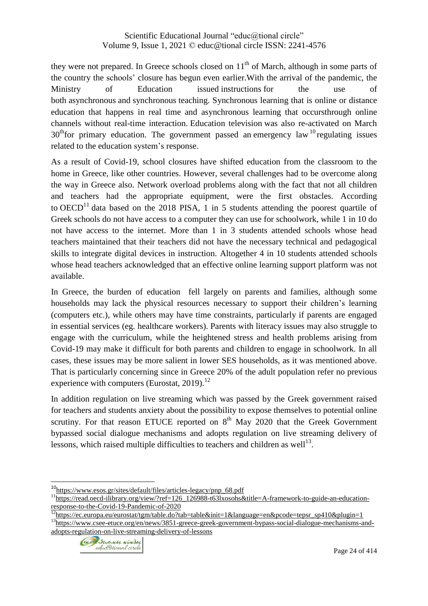they were not prepared. In Greece schools closed on  $11<sup>th</sup>$  of March, although in some parts of the country the schools' closure has begun even earlier.With the arrival of the pandemic, the Ministry of Education issued [instructions](https://www.minedu.gov.gr/anastoli-leitourgias-ekpaideftikon-monadon/44445-21-03-2020-odigies-gia-tin-eks-apostaseos-ekpaidefsi) for the use of both [asynchronous](https://www.minedu.gov.gr/publications/docs2020/DistLearningAsyncInstructions_20200320_0.pdf) and [synchronous](https://dschool.edu.gr/menoumespiti/) teaching. Synchronous learning that is online or distance education that happens in real time and asynchronous learning that occursthrough online channels without real-time interaction. [Education](https://webtv.ert.gr/shows/mathainoume-sto-spiti/) television was also re-activated on March  $30<sup>th</sup>$  for primary education. The government passed an [emergency](https://www.esos.gr/arthra/66729/koronoios-pente-diataxeis-gia-tin-paideia-me-praxi-nomothetikoy-periehomenoy) law  $10<sup>th</sup>$  regulating issues related to the education system's response.

As a result of Covid-19, school closures have shifted education from the classroom to the home in Greece, like other countries. However, several challenges had to be overcome along the way in Greece also. Network overload problems along with the fact that not all children and teachers had the appropriate equipment, were the first obstacles. According to  $OECD<sup>11</sup>$  $OECD<sup>11</sup>$  data based on the 2018 PISA, 1 in 5 students attending the poorest quartile of Greek schools do not have access to a computer they can use for schoolwork, while 1 in 10 do not have access to the internet. More than 1 in 3 students attended schools whose head teachers maintained that their teachers did not have the necessary technical and pedagogical skills to integrate digital devices in instruction. Altogether 4 in 10 students attended schools whose head teachers acknowledged that an effective online learning support platform was not available.

In Greece, the burden of education fell largely on parents and families, although some households may lack the physical resources necessary to support their children's learning (computers etc.), while others may have time constraints, particularly if parents are engaged in essential services (eg. healthcare workers). Parents with literacy issues may also struggle to engage with the curriculum, while the heightened stress and health problems arising from Covid-19 may make it difficult for both parents and children to engage in schoolwork. In all cases, these issues may be more salient in lower SES households, as it was mentioned above. That is particularly concerning since in Greece 20% of the adult population refer no previous experience with computers (Eurostat,  $2019$ ).<sup>12</sup>

In addition regulation on live streaming which was passed by the Greek government raised for teachers and students anxiety about the possibility to expose themselves to potential online scrutiny. For that reason ETUCE reported on  $8<sup>th</sup>$  May 2020 that the Greek Government bypassed social dialogue mechanisms and adopts regulation on live streaming delivery of lessons, which raised multiple difficulties to teachers and children as well<sup>13</sup>.

<sup>13</sup>[https://www.csee-etuce.org/en/news/3851-greece-greek-government-bypass-social-dialogue-mechanisms-and](https://www.csee-etuce.org/en/news/3851-greece-greek-government-bypass-social-dialogue-mechanisms-and-adopts-regulation-on-live-streaming-delivery-of-lessons)[adopts-regulation-on-live-streaming-delivery-of-lessons](https://www.csee-etuce.org/en/news/3851-greece-greek-government-bypass-social-dialogue-mechanisms-and-adopts-regulation-on-live-streaming-delivery-of-lessons)



 $\overline{a}$ 

<sup>&</sup>lt;sup>10</sup>[https://www.esos.gr/sites/default/files/articles-legacy/pnp\\_68.pdf](https://www.esos.gr/sites/default/files/articles-legacy/pnp_68.pdf)

<sup>&</sup>lt;sup>11</sup>[https://read.oecd-ilibrary.org/view/?ref=126\\_126988-t63lxosohs&title=A-framework-to-guide-an-education](https://read.oecd-ilibrary.org/view/?ref=126_126988-t63lxosohs&title=A-framework-to-guide-an-education-response-to-the-Covid-19-Pandemic-of-2020)[response-to-the-Covid-19-Pandemic-of-2020](https://read.oecd-ilibrary.org/view/?ref=126_126988-t63lxosohs&title=A-framework-to-guide-an-education-response-to-the-Covid-19-Pandemic-of-2020)

<sup>&</sup>lt;sup>12</sup>[https://ec.europa.eu/eurostat/tgm/table.do?tab=table&init=1&language=en&pcode=tepsr\\_sp410&plugin=1](https://ec.europa.eu/eurostat/tgm/table.do?tab=table&init=1&language=en&pcode=tepsr_sp410&plugin=1)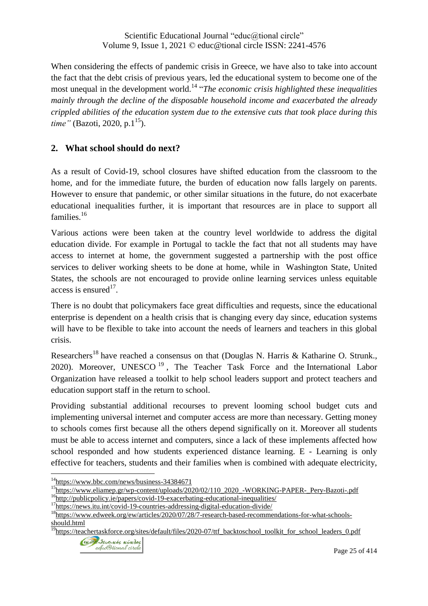When considering the effects of pandemic crisis in Greece, we have also to take into account the fact that the debt crisis of previous years, led the educational system to become one of the most unequal in the development world.<sup>14</sup> "*The economic crisis highlighted these inequalities mainly through the decline of the disposable household income and exacerbated the already crippled abilities of the education system due to the extensive cuts that took place during this time*" (Bazoti, 2020, p.1<sup>15</sup>).

### **2. What school should do next?**

As a result of Covid-19, school closures have shifted education from the classroom to the home, and for the immediate future, the burden of education now falls largely on parents. However to ensure that pandemic, or other similar situations in the future, do not exacerbate educational inequalities further, it is important that resources are in place to support all families.<sup>16</sup>

Various actions were been taken at the country level worldwide to address the digital education divide. For example in Portugal to tackle the fact that not all students may have access to internet at home, the government suggested a partnership with the post office services to deliver working sheets to be done at home, while in Washington State, United States, the schools are not encouraged to provide online learning services unless equitable access is ensured<sup>17</sup>.

There is no doubt that policymakers face great difficulties and requests, since the educational enterprise is dependent on a health crisis that is changing every day since, education systems will have to be flexible to take into account the needs of learners and teachers in this global crisis.

Researchers<sup>18</sup> have reached a consensus on that (Douglas N. Harris & Katharine O. Strunk., 2020). Moreover, UNESCO<sup>19</sup>, The Teacher Task Force and the International Labor Organization have released a toolkit to help school leaders support and protect teachers and education support staff in the return to school.

Providing substantial additional recourses to prevent looming school budget cuts and implementing universal internet and computer access are more than necessary. Getting money to schools comes first because all the others depend significally on it. Moreover all students must be able to access internet and computers, since a lack of these implements affected how school responded and how students experienced distance learning. E - Learning is only effective for teachers, students and their families when is combined with adequate electricity,

<sup>&</sup>lt;sup>19</sup>[https://teachertaskforce.org/sites/default/files/2020-07/ttf\\_backtoschool\\_toolkit\\_for\\_school\\_leaders\\_0.pdf](https://teachertaskforce.org/sites/default/files/2020-07/ttf_backtoschool_toolkit_for_school_leaders_0.pdf)



 $\overline{a}$ <sup>14</sup><https://www.bbc.com/news/business-34384671>

<sup>&</sup>lt;sup>15</sup>[https://www.eliamep.gr/wp-content/uploads/2020/02/110\\_2020\\_-WORKING-PAPER-\\_Pery-Bazoti-.pdf](https://www.eliamep.gr/wp-content/uploads/2020/02/110_2020_-WORKING-PAPER-_Pery-Bazoti-.pdf)

<sup>&</sup>lt;sup>16</sup><http://publicpolicy.ie/papers/covid-19-exacerbating-educational-inequalities/>

<sup>&</sup>lt;sup>17</sup><https://news.itu.int/covid-19-countries-addressing-digital-education-divide/>

<sup>&</sup>lt;sup>18</sup>[https://www.edweek.org/ew/articles/2020/07/28/7-research-based-recommendations-for-what-schools](https://www.edweek.org/ew/articles/2020/07/28/7-research-based-recommendations-for-what-schools-should.html)[should.html](https://www.edweek.org/ew/articles/2020/07/28/7-research-based-recommendations-for-what-schools-should.html)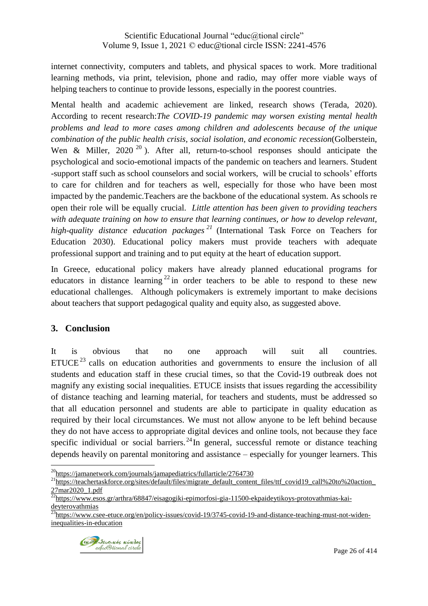internet connectivity, computers and tablets, and physical spaces to work. More traditional learning methods, via print, television, phone and radio, may offer more viable ways of helping teachers to continue to provide lessons, especially in the poorest countries.

Mental health and academic achievement are linked, research shows (Terada, 2020). According to recent research:*The COVID-19 pandemic may worsen existing mental health problems and lead to more cases among children and adolescents because of the unique combination of the public health crisis, social isolation, and economic recession*(Golberstein, Wen & Miller,  $2020^{20}$ ). After all, return-to-school responses should anticipate the psychological and socio-emotional impacts of the pandemic on teachers and learners. Student -support staff such as school counselors and social workers, will be crucial to schools' efforts to care for children and for teachers as well, especially for those who have been most impacted by the pandemic.Teachers are the backbone of the educational system. As schools re open their role will be equally crucial. *Little attention has been given to providing teachers with adequate training on how to ensure that learning continues, or how to develop relevant, high-quality distance education packages <sup>21</sup>* (International Task Force on Teachers for Education 2030). Educational policy makers must provide teachers with adequate professional support and training and to put equity at the heart of education support.

In Greece, educational policy makers have already planned educational programs for educators in distance learning  $22$  in order teachers to be able to respond to these new educational challenges. Although policymakers is extremely important to make decisions about teachers that support pedagogical quality and equity also, as suggested above.

# **3. Conclusion**

It is obvious that no one approach will suit all countries.  $ETUCE<sup>23</sup>$  calls on education authorities and governments to ensure the inclusion of all students and education staff in these crucial times, so that the Covid-19 outbreak does not magnify any existing social inequalities. ETUCE insists that issues regarding the accessibility of distance teaching and learning material, for teachers and students, must be addressed so that all education personnel and students are able to participate in quality education as required by their local circumstances. We must not allow anyone to be left behind because they do not have access to appropriate digital devices and online tools, not because they face specific individual or social barriers.<sup>24</sup> In general, successful remote or distance teaching depends heavily on parental monitoring and assistance – especially for younger learners. This

 $^{23}$ [https://www.csee-etuce.org/en/policy-issues/covid-19/3745-covid-19-and-distance-teaching-must-not-widen](https://www.csee-etuce.org/en/policy-issues/covid-19/3745-covid-19-and-distance-teaching-must-not-widen-inequalities-in-education)[inequalities-in-education](https://www.csee-etuce.org/en/policy-issues/covid-19/3745-covid-19-and-distance-teaching-must-not-widen-inequalities-in-education)



 $\overline{a}$ <sup>20</sup><https://jamanetwork.com/journals/jamapediatrics/fullarticle/2764730>

<sup>&</sup>lt;sup>21</sup>[https://teachertaskforce.org/sites/default/files/migrate\\_default\\_content\\_files/ttf\\_covid19\\_call%20to%20action\\_](https://teachertaskforce.org/sites/default/files/migrate_default_content_files/ttf_covid19_call%20to%20action_27mar2020_1.pdf)  $\frac{27 \text{mar2020}}{22 \text{hr} + 22 \text{hr}}$ 

<sup>&</sup>lt;sup>2</sup>[https://www.esos.gr/arthra/68847/eisagogiki-epimorfosi-gia-11500-ekpaideytikoys-protovathmias-kai](https://www.esos.gr/arthra/68847/eisagogiki-epimorfosi-gia-11500-ekpaideytikoys-protovathmias-kai-deyterovathmias)[deyterovathmias](https://www.esos.gr/arthra/68847/eisagogiki-epimorfosi-gia-11500-ekpaideytikoys-protovathmias-kai-deyterovathmias)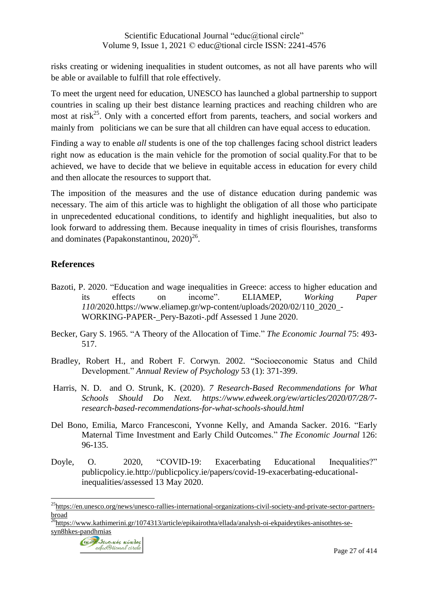risks creating or widening inequalities in student outcomes, as not all have parents who will be able or available to fulfill that role effectively.

To meet the urgent need for education, UNESCO has launched a global [partnership](https://en.unesco.org/news/unesco-rallies-international-organizations-civil-society-and-private-sector-partners-broad) to support countries in scaling up their best distance learning practices and reaching children who are most at risk<sup>25</sup>. Only with a concerted effort from parents, teachers, and social workers and mainly from politicians we can be sure that all children can have equal access to education.

Finding a way to enable *all* students is one of the top challenges facing school district leaders right now as education is the main vehicle for the promotion of social quality.For that to be achieved, we have to decide that we believe in equitable access in education for every child and then allocate the resources to support that.

The imposition of the measures and the use of distance education during pandemic was necessary. The aim of this article was to highlight the obligation of all those who participate in unprecedented educational conditions, to identify and highlight inequalities, but also to look forward to addressing them. Because inequality in times of crisis flourishes, transforms and dominates (Papakonstantinou,  $2020^{26}$ .

### **References**

 $\overline{a}$ 

- Bazoti, P. 2020. "Education and wage inequalities in Greece: access to higher education and its effects on income". ELIAMEP, *Working Paper 110*/2020[.https://www.eliamep.gr/wp-content/uploads/2020/02/110\\_2020\\_-](https://www.eliamep.gr/wp-content/uploads/2020/02/110_2020_-WORKING-PAPER-_Pery-Bazoti-.pdf%20Assessed%201%20June%202020) [WORKING-PAPER-\\_Pery-Bazoti-.pdf](https://www.eliamep.gr/wp-content/uploads/2020/02/110_2020_-WORKING-PAPER-_Pery-Bazoti-.pdf%20Assessed%201%20June%202020) Assessed 1 June 2020.
- Becker, Gary S. 1965. "A Theory of the Allocation of Time." *The Economic Journal* 75: 493- 517.
- Bradley, Robert H., and Robert F. Corwyn. 2002. "Socioeconomic Status and Child Development." *Annual Review of Psychology* 53 (1): 371-399.
- Harris, N. D. and O. Strunk, K. (2020). *7 Research-Based Recommendations for What Schools Should Do Next. [https://www.edweek.org/ew/articles/2020/07/28/7](https://www.edweek.org/ew/articles/2020/07/28/7-research-based-recommendations-for-what-schools-should.html) [research-based-recommendations-for-what-schools-should.html](https://www.edweek.org/ew/articles/2020/07/28/7-research-based-recommendations-for-what-schools-should.html)*
- Del Bono, Emilia, Marco Francesconi, Yvonne Kelly, and Amanda Sacker. 2016. "Early Maternal Time Investment and Early Child Outcomes." *The Economic Journal* 126: 96-135.
- Doyle, O. 2020, "COVID-19: Exacerbating Educational Inequalities?" publicpolicy.ie*.*[http://publicpolicy.ie/papers/covid-19-exacerbating-educational](http://publicpolicy.ie/papers/covid-19-exacerbating-educational-inequalities/)[inequalities/a](http://publicpolicy.ie/papers/covid-19-exacerbating-educational-inequalities/)ssessed 13 May 2020.

<sup>&</sup>lt;sup>26</sup>[https://www.kathimerini.gr/1074313/article/epikairothta/ellada/analysh-oi-ekpaideytikes-anisothtes-se](https://www.kathimerini.gr/1074313/article/epikairothta/ellada/analysh-oi-ekpaideytikes-anisothtes-se-syn8hkes-pandhmias)[syn8hkes-pandhmias](https://www.kathimerini.gr/1074313/article/epikairothta/ellada/analysh-oi-ekpaideytikes-anisothtes-se-syn8hkes-pandhmias)



<sup>&</sup>lt;sup>25</sup>[https://en.unesco.org/news/unesco-rallies-international-organizations-civil-society-and-private-sector-partners](https://en.unesco.org/news/unesco-rallies-international-organizations-civil-society-and-private-sector-partners-broad)[broad](https://en.unesco.org/news/unesco-rallies-international-organizations-civil-society-and-private-sector-partners-broad)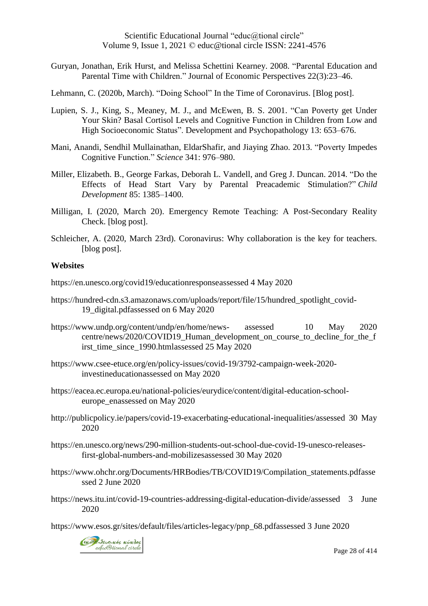Guryan, Jonathan, Erik Hurst, and Melissa Schettini Kearney. 2008. "Parental Education and Parental Time with Children." Journal of Economic Perspectives 22(3):23–46.

Lehmann, C. (2020b, March). "Doing School" In the Time of Coronavirus. [Blog post].

- Lupien, S. J., King, S., Meaney, M. J., and McEwen, B. S. 2001. "Can Poverty get Under Your Skin? Basal Cortisol Levels and Cognitive Function in Children from Low and High Socioeconomic Status". Development and Psychopathology 13: 653–676.
- Mani, Anandi, Sendhil Mullainathan, EldarShafir, and Jiaying Zhao. 2013. "Poverty Impedes Cognitive Function." *Science* 341: 976–980.
- Miller, Elizabeth. B., George Farkas, Deborah L. Vandell, and Greg J. Duncan. 2014. "Do the Effects of Head Start Vary by Parental Preacademic Stimulation?" *Child Development* 85: 1385–1400.
- Milligan, I. (2020, March 20). Emergency Remote Teaching: A Post-Secondary Reality Check. [blog post].
- Schleicher, A. (2020, March 23rd). Coronavirus: Why collaboration is the key for teachers. [blog post].

#### **Websites**

[https://en.unesco.org/covid19/educationresponsea](https://en.unesco.org/covid19/educationresponse)ssessed 4 May 2020

- [https://hundred-cdn.s3.amazonaws.com/uploads/report/file/15/hundred\\_spotlight\\_covid-](https://hundred-cdn.s3.amazonaws.com/uploads/report/file/15/hundred_spotlight_covid-19_digital.pdf)[19\\_digital.pdfa](https://hundred-cdn.s3.amazonaws.com/uploads/report/file/15/hundred_spotlight_covid-19_digital.pdf)ssessed on 6 May 2020
- [https://www.undp.org/content/undp/en/home/news-](https://www.undp.org/content/undp/en/home/news-%20assessed%20%2010%20May%202020%20centre/news/2020/COVID19_Human_development_on_course_to_decline_for_the_first_time_since_1990.html) assessed 10 May 2020 [centre/news/2020/COVID19\\_Human\\_development\\_on\\_course\\_to\\_decline\\_for\\_the\\_f](https://www.undp.org/content/undp/en/home/news-%20assessed%20%2010%20May%202020%20centre/news/2020/COVID19_Human_development_on_course_to_decline_for_the_first_time_since_1990.html) [irst\\_time\\_since\\_1990.htmla](https://www.undp.org/content/undp/en/home/news-%20assessed%20%2010%20May%202020%20centre/news/2020/COVID19_Human_development_on_course_to_decline_for_the_first_time_since_1990.html)ssessed 25 May 2020
- [https://www.csee-etuce.org/en/policy-issues/covid-19/3792-campaign-week-2020](https://www.csee-etuce.org/en/policy-issues/covid-19/3792-campaign-week-2020-investineducation) [investineducationa](https://www.csee-etuce.org/en/policy-issues/covid-19/3792-campaign-week-2020-investineducation)ssessed on May 2020
- [https://eacea.ec.europa.eu/national-policies/eurydice/content/digital-education-school](https://eacea.ec.europa.eu/national-policies/eurydice/content/digital-education-school-europe_en)[europe\\_ena](https://eacea.ec.europa.eu/national-policies/eurydice/content/digital-education-school-europe_en)ssessed on May 2020
- [http://publicpolicy.ie/papers/covid-19-exacerbating-educational-inequalities/a](http://publicpolicy.ie/papers/covid-19-exacerbating-educational-inequalities/)ssessed 30 May 2020
- [https://en.unesco.org/news/290-million-students-out-school-due-covid-19-unesco-releases](https://en.unesco.org/news/290-million-students-out-school-due-covid-19-unesco-releases-first-global-numbers-and-mobilizes)[first-global-numbers-and-mobilizesa](https://en.unesco.org/news/290-million-students-out-school-due-covid-19-unesco-releases-first-global-numbers-and-mobilizes)ssessed 30 May 2020
- [https://www.ohchr.org/Documents/HRBodies/TB/COVID19/Compilation\\_statements.pdfa](https://www.ohchr.org/Documents/HRBodies/TB/COVID19/Compilation_statements.pdf)sse ssed 2 June 2020

[https://news.itu.int/covid-19-countries-addressing-digital-education-divide/a](https://news.itu.int/covid-19-countries-addressing-digital-education-divide/)ssessed 3 June 2020

[https://www.esos.gr/sites/default/files/articles-legacy/pnp\\_68.pdfa](https://www.esos.gr/sites/default/files/articles-legacy/pnp_68.pdf)ssessed 3 June 2020